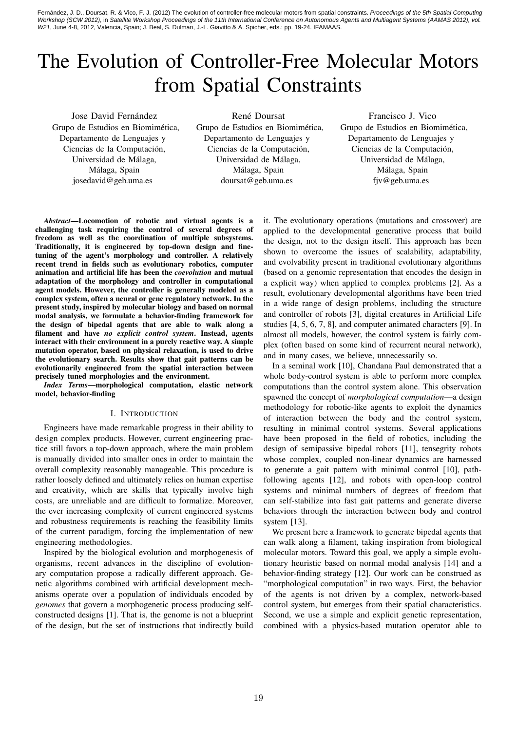Fernández, J. D., Doursat, R. & Vico, F. J. (2012) The evolution of controller-free molecular motors from spatial constraints. Proceedings of the 5th Spatial Computing Workshop (SCW 2012), in Satellite Workshop Proceedings of the 11th International Conference on Autonomous Agents and Multiagent Systems (AAMAS 2012), vol. W21, June 4-8, 2012, Valencia, Spain; J. Beal, S. Dulman, J.-L. Giavitto & A. Spicher, eds.: pp. 19-24. IFAMAAS.

# The Evolution of Controller-Free Molecular Motors from Spatial Constraints

Jose David Fernández Grupo de Estudios en Biomimética, Departamento de Lenguajes y Ciencias de la Computación, Universidad de Málaga, Málaga, Spain josedavid@geb.uma.es

René Doursat Grupo de Estudios en Biomimética, Departamento de Lenguajes y Ciencias de la Computación, Universidad de Málaga, Málaga, Spain doursat@geb.uma.es

Francisco J. Vico Grupo de Estudios en Biomimética, Departamento de Lenguajes y Ciencias de la Computación, Universidad de Málaga, Málaga, Spain fjv@geb.uma.es

*Abstract*—Locomotion of robotic and virtual agents is a challenging task requiring the control of several degrees of freedom as well as the coordination of multiple subsystems. Traditionally, it is engineered by top-down design and finetuning of the agent's morphology and controller. A relatively recent trend in fields such as evolutionary robotics, computer animation and artificial life has been the *coevolution* and mutual adaptation of the morphology and controller in computational agent models. However, the controller is generally modeled as a complex system, often a neural or gene regulatory network. In the present study, inspired by molecular biology and based on normal modal analysis, we formulate a behavior-finding framework for the design of bipedal agents that are able to walk along a filament and have *no explicit control system*. Instead, agents interact with their environment in a purely reactive way. A simple mutation operator, based on physical relaxation, is used to drive the evolutionary search. Results show that gait patterns can be evolutionarily engineered from the spatial interaction between precisely tuned morphologies and the environment.

*Index Terms*—morphological computation, elastic network model, behavior-finding

#### I. INTRODUCTION

Engineers have made remarkable progress in their ability to design complex products. However, current engineering practice still favors a top-down approach, where the main problem is manually divided into smaller ones in order to maintain the overall complexity reasonably manageable. This procedure is rather loosely defined and ultimately relies on human expertise and creativity, which are skills that typically involve high costs, are unreliable and are difficult to formalize. Moreover, the ever increasing complexity of current engineered systems and robustness requirements is reaching the feasibility limits of the current paradigm, forcing the implementation of new engineering methodologies.

Inspired by the biological evolution and morphogenesis of organisms, recent advances in the discipline of evolutionary computation propose a radically different approach. Genetic algorithms combined with artificial development mechanisms operate over a population of individuals encoded by *genomes* that govern a morphogenetic process producing selfconstructed designs [1]. That is, the genome is not a blueprint of the design, but the set of instructions that indirectly build

it. The evolutionary operations (mutations and crossover) are applied to the developmental generative process that build the design, not to the design itself. This approach has been shown to overcome the issues of scalability, adaptability, and evolvability present in traditional evolutionary algorithms (based on a genomic representation that encodes the design in a explicit way) when applied to complex problems [2]. As a result, evolutionary developmental algorithms have been tried in a wide range of design problems, including the structure and controller of robots [3], digital creatures in Artificial Life studies [4, 5, 6, 7, 8], and computer animated characters [9]. In almost all models, however, the control system is fairly complex (often based on some kind of recurrent neural network), and in many cases, we believe, unnecessarily so.

In a seminal work [10], Chandana Paul demonstrated that a whole body-control system is able to perform more complex computations than the control system alone. This observation spawned the concept of *morphological computation*—a design methodology for robotic-like agents to exploit the dynamics of interaction between the body and the control system, resulting in minimal control systems. Several applications have been proposed in the field of robotics, including the design of semipassive bipedal robots [11], tensegrity robots whose complex, coupled non-linear dynamics are harnessed to generate a gait pattern with minimal control [10], pathfollowing agents [12], and robots with open-loop control systems and minimal numbers of degrees of freedom that can self-stabilize into fast gait patterns and generate diverse behaviors through the interaction between body and control system [13].

We present here a framework to generate bipedal agents that can walk along a filament, taking inspiration from biological molecular motors. Toward this goal, we apply a simple evolutionary heuristic based on normal modal analysis [14] and a behavior-finding strategy [12]. Our work can be construed as "morphological computation" in two ways. First, the behavior of the agents is not driven by a complex, network-based control system, but emerges from their spatial characteristics. Second, we use a simple and explicit genetic representation, combined with a physics-based mutation operator able to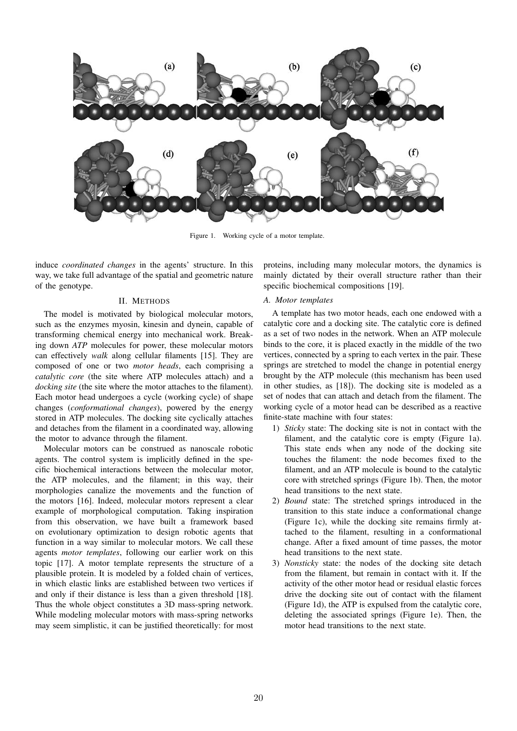

Figure 1. Working cycle of a motor template.

induce *coordinated changes* in the agents' structure. In this way, we take full advantage of the spatial and geometric nature of the genotype.

### II. METHODS

The model is motivated by biological molecular motors, such as the enzymes myosin, kinesin and dynein, capable of transforming chemical energy into mechanical work. Breaking down *ATP* molecules for power, these molecular motors can effectively *walk* along cellular filaments [15]. They are composed of one or two *motor heads*, each comprising a *catalytic core* (the site where ATP molecules attach) and a *docking site* (the site where the motor attaches to the filament). Each motor head undergoes a cycle (working cycle) of shape changes (*conformational changes*), powered by the energy stored in ATP molecules. The docking site cyclically attaches and detaches from the filament in a coordinated way, allowing the motor to advance through the filament.

Molecular motors can be construed as nanoscale robotic agents. The control system is implicitly defined in the specific biochemical interactions between the molecular motor, the ATP molecules, and the filament; in this way, their morphologies canalize the movements and the function of the motors [16]. Indeed, molecular motors represent a clear example of morphological computation. Taking inspiration from this observation, we have built a framework based on evolutionary optimization to design robotic agents that function in a way similar to molecular motors. We call these agents *motor templates*, following our earlier work on this topic [17]. A motor template represents the structure of a plausible protein. It is modeled by a folded chain of vertices, in which elastic links are established between two vertices if and only if their distance is less than a given threshold [18]. Thus the whole object constitutes a 3D mass-spring network. While modeling molecular motors with mass-spring networks may seem simplistic, it can be justified theoretically: for most

proteins, including many molecular motors, the dynamics is mainly dictated by their overall structure rather than their specific biochemical compositions [19].

## *A. Motor templates*

A template has two motor heads, each one endowed with a catalytic core and a docking site. The catalytic core is defined as a set of two nodes in the network. When an ATP molecule binds to the core, it is placed exactly in the middle of the two vertices, connected by a spring to each vertex in the pair. These springs are stretched to model the change in potential energy brought by the ATP molecule (this mechanism has been used in other studies, as [18]). The docking site is modeled as a set of nodes that can attach and detach from the filament. The working cycle of a motor head can be described as a reactive finite-state machine with four states:

- 1) *Sticky* state: The docking site is not in contact with the filament, and the catalytic core is empty (Figure 1a). This state ends when any node of the docking site touches the filament: the node becomes fixed to the filament, and an ATP molecule is bound to the catalytic core with stretched springs (Figure 1b). Then, the motor head transitions to the next state.
- 2) *Bound* state: The stretched springs introduced in the transition to this state induce a conformational change (Figure 1c), while the docking site remains firmly attached to the filament, resulting in a conformational change. After a fixed amount of time passes, the motor head transitions to the next state.
- 3) *Nonsticky* state: the nodes of the docking site detach from the filament, but remain in contact with it. If the activity of the other motor head or residual elastic forces drive the docking site out of contact with the filament (Figure 1d), the ATP is expulsed from the catalytic core, deleting the associated springs (Figure 1e). Then, the motor head transitions to the next state.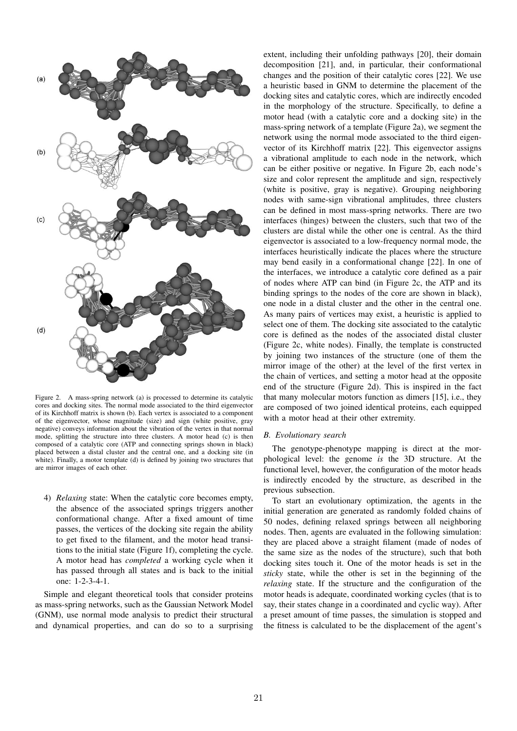

Figure 2. A mass-spring network (a) is processed to determine its catalytic cores and docking sites. The normal mode associated to the third eigenvector of its Kirchhoff matrix is shown (b). Each vertex is associated to a component of the eigenvector, whose magnitude (size) and sign (white positive, gray negative) conveys information about the vibration of the vertex in that normal mode, splitting the structure into three clusters. A motor head (c) is then composed of a catalytic core (ATP and connecting springs shown in black) placed between a distal cluster and the central one, and a docking site (in white). Finally, a motor template (d) is defined by joining two structures that are mirror images of each other.

4) *Relaxing* state: When the catalytic core becomes empty, the absence of the associated springs triggers another conformational change. After a fixed amount of time passes, the vertices of the docking site regain the ability to get fixed to the filament, and the motor head transitions to the initial state (Figure 1f), completing the cycle. A motor head has *completed* a working cycle when it has passed through all states and is back to the initial one: 1-2-3-4-1.

Simple and elegant theoretical tools that consider proteins as mass-spring networks, such as the Gaussian Network Model (GNM), use normal mode analysis to predict their structural and dynamical properties, and can do so to a surprising

extent, including their unfolding pathways [20], their domain decomposition [21], and, in particular, their conformational changes and the position of their catalytic cores [22]. We use a heuristic based in GNM to determine the placement of the docking sites and catalytic cores, which are indirectly encoded in the morphology of the structure. Specifically, to define a motor head (with a catalytic core and a docking site) in the mass-spring network of a template (Figure 2a), we segment the network using the normal mode associated to the third eigenvector of its Kirchhoff matrix [22]. This eigenvector assigns a vibrational amplitude to each node in the network, which can be either positive or negative. In Figure 2b, each node's size and color represent the amplitude and sign, respectively (white is positive, gray is negative). Grouping neighboring nodes with same-sign vibrational amplitudes, three clusters can be defined in most mass-spring networks. There are two interfaces (hinges) between the clusters, such that two of the clusters are distal while the other one is central. As the third eigenvector is associated to a low-frequency normal mode, the interfaces heuristically indicate the places where the structure may bend easily in a conformational change [22]. In one of the interfaces, we introduce a catalytic core defined as a pair of nodes where ATP can bind (in Figure 2c, the ATP and its binding springs to the nodes of the core are shown in black), one node in a distal cluster and the other in the central one. As many pairs of vertices may exist, a heuristic is applied to select one of them. The docking site associated to the catalytic core is defined as the nodes of the associated distal cluster (Figure 2c, white nodes). Finally, the template is constructed by joining two instances of the structure (one of them the mirror image of the other) at the level of the first vertex in the chain of vertices, and setting a motor head at the opposite end of the structure (Figure 2d). This is inspired in the fact that many molecular motors function as dimers [15], i.e., they are composed of two joined identical proteins, each equipped with a motor head at their other extremity.

## *B. Evolutionary search*

The genotype-phenotype mapping is direct at the morphological level: the genome *is* the 3D structure. At the functional level, however, the configuration of the motor heads is indirectly encoded by the structure, as described in the previous subsection.

To start an evolutionary optimization, the agents in the initial generation are generated as randomly folded chains of 50 nodes, defining relaxed springs between all neighboring nodes. Then, agents are evaluated in the following simulation: they are placed above a straight filament (made of nodes of the same size as the nodes of the structure), such that both docking sites touch it. One of the motor heads is set in the *sticky* state, while the other is set in the beginning of the *relaxing* state. If the structure and the configuration of the motor heads is adequate, coordinated working cycles (that is to say, their states change in a coordinated and cyclic way). After a preset amount of time passes, the simulation is stopped and the fitness is calculated to be the displacement of the agent's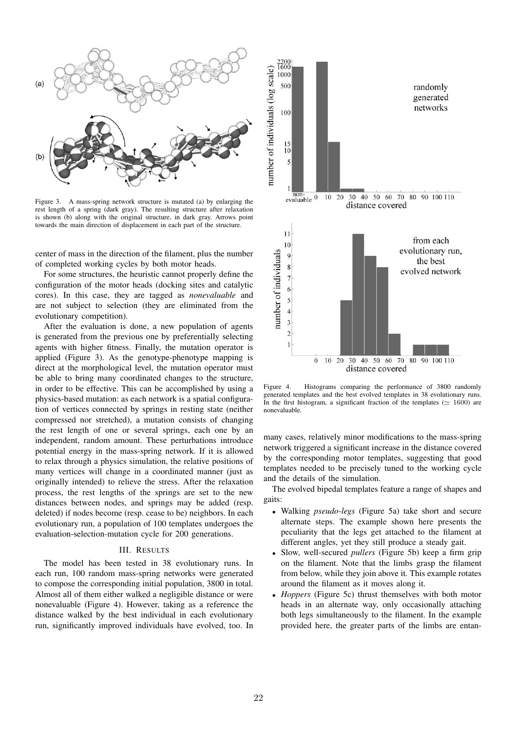

Figure 3. A mass-spring network structure is mutated (a) by enlarging the rest length of a spring (dark gray). The resulting structure after relaxation is shown (b) along with the original structure, in dark gray. Arrows point towards the main direction of displacement in each part of the structure.

center of mass in the direction of the filament, plus the number of completed working cycles by both motor heads.

For some structures, the heuristic cannot properly define the configuration of the motor heads (docking sites and catalytic cores). In this case, they are tagged as *nonevaluable* and are not subject to selection (they are eliminated from the evolutionary competition).

After the evaluation is done, a new population of agents is generated from the previous one by preferentially selecting agents with higher fitness. Finally, the mutation operator is applied (Figure 3). As the genotype-phenotype mapping is direct at the morphological level, the mutation operator must be able to bring many coordinated changes to the structure, in order to be effective. This can be accomplished by using a physics-based mutation: as each network is a spatial configuration of vertices connected by springs in resting state (neither compressed nor stretched), a mutation consists of changing the rest length of one or several springs, each one by an independent, random amount. These perturbations introduce potential energy in the mass-spring network. If it is allowed to relax through a physics simulation, the relative positions of many vertices will change in a coordinated manner (just as originally intended) to relieve the stress. After the relaxation process, the rest lengths of the springs are set to the new distances between nodes, and springs may be added (resp. deleted) if nodes become (resp. cease to be) neighbors. In each evolutionary run, a population of 100 templates undergoes the evaluation-selection-mutation cycle for 200 generations.

#### III. RESULTS

The model has been tested in 38 evolutionary runs. In each run, 100 random mass-spring networks were generated to compose the corresponding initial population, 3800 in total. Almost all of them either walked a negligible distance or were nonevaluable (Figure 4). However, taking as a reference the distance walked by the best individual in each evolutionary run, significantly improved individuals have evolved, too. In



Figure 4. Histograms comparing the performance of 3800 randomly generated templates and the best evolved templates in 38 evolutionary runs. In the first histogram, a significant fraction of the templates ( $\simeq 1600$ ) are nonevaluable.

many cases, relatively minor modifications to the mass-spring network triggered a significant increase in the distance covered by the corresponding motor templates, suggesting that good templates needed to be precisely tuned to the working cycle and the details of the simulation.

The evolved bipedal templates feature a range of shapes and gaits:

- *•* Walking *pseudo-legs* (Figure 5a) take short and secure alternate steps. The example shown here presents the peculiarity that the legs get attached to the filament at different angles, yet they still produce a steady gait.
- *•* Slow, well-secured *pullers* (Figure 5b) keep a firm grip on the filament. Note that the limbs grasp the filament from below, while they join above it. This example rotates around the filament as it moves along it.
- *• Hoppers* (Figure 5c) thrust themselves with both motor heads in an alternate way, only occasionally attaching both legs simultaneously to the filament. In the example provided here, the greater parts of the limbs are entan-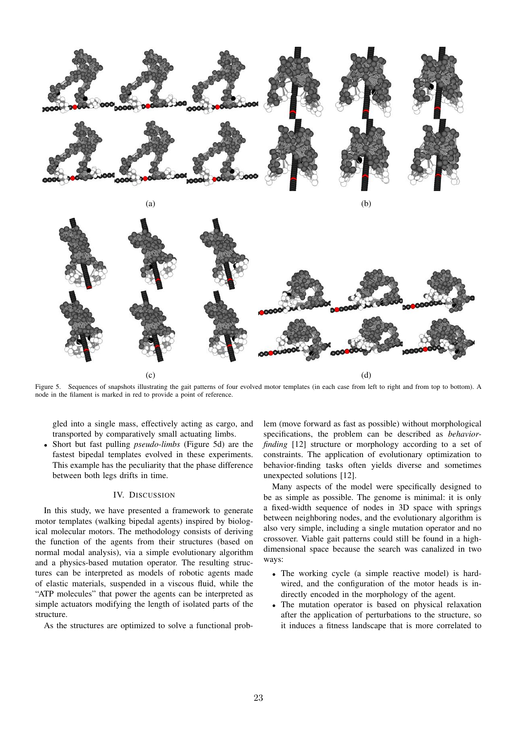

Figure 5. Sequences of snapshots illustrating the gait patterns of four evolved motor templates (in each case from left to right and from top to bottom). A node in the filament is marked in red to provide a point of reference.

gled into a single mass, effectively acting as cargo, and transported by comparatively small actuating limbs.

*•* Short but fast pulling *pseudo-limbs* (Figure 5d) are the fastest bipedal templates evolved in these experiments. This example has the peculiarity that the phase difference between both legs drifts in time.

#### IV. DISCUSSION

In this study, we have presented a framework to generate motor templates (walking bipedal agents) inspired by biological molecular motors. The methodology consists of deriving the function of the agents from their structures (based on normal modal analysis), via a simple evolutionary algorithm and a physics-based mutation operator. The resulting structures can be interpreted as models of robotic agents made of elastic materials, suspended in a viscous fluid, while the "ATP molecules" that power the agents can be interpreted as simple actuators modifying the length of isolated parts of the structure.

As the structures are optimized to solve a functional prob-

lem (move forward as fast as possible) without morphological specifications, the problem can be described as *behaviorfinding* [12] structure or morphology according to a set of constraints. The application of evolutionary optimization to behavior-finding tasks often yields diverse and sometimes unexpected solutions [12].

Many aspects of the model were specifically designed to be as simple as possible. The genome is minimal: it is only a fixed-width sequence of nodes in 3D space with springs between neighboring nodes, and the evolutionary algorithm is also very simple, including a single mutation operator and no crossover. Viable gait patterns could still be found in a highdimensional space because the search was canalized in two ways:

- *•* The working cycle (a simple reactive model) is hardwired, and the configuration of the motor heads is indirectly encoded in the morphology of the agent.
- *•* The mutation operator is based on physical relaxation after the application of perturbations to the structure, so it induces a fitness landscape that is more correlated to